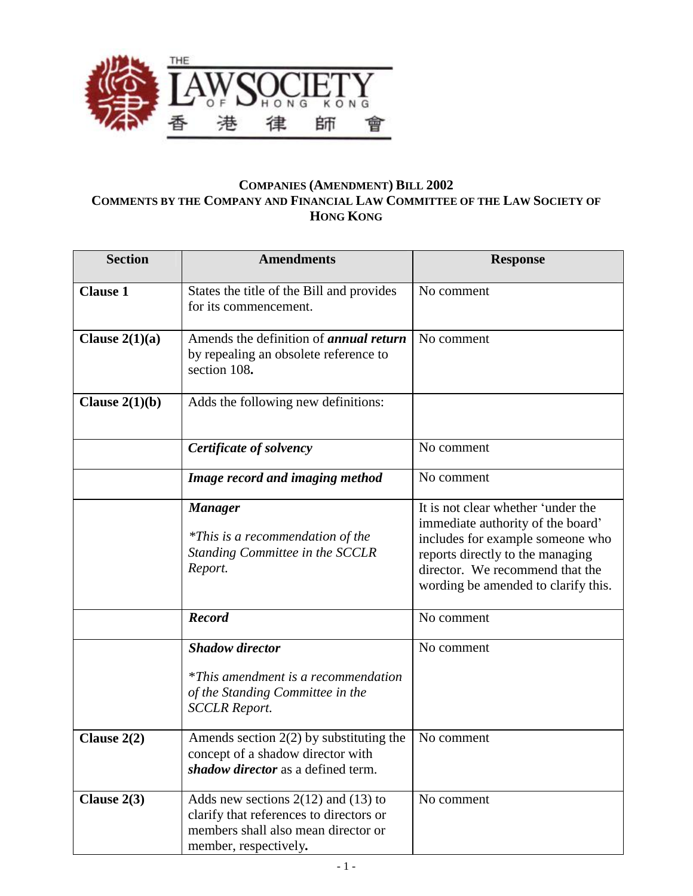

## **COMPANIES (AMENDMENT) BILL 2002 COMMENTS BY THE COMPANY AND FINANCIAL LAW COMMITTEE OF THE LAW SOCIETY OF HONG KONG**

| <b>Section</b>   | <b>Amendments</b>                                                                                                                                  | <b>Response</b>                                                                                                                                                                                                           |
|------------------|----------------------------------------------------------------------------------------------------------------------------------------------------|---------------------------------------------------------------------------------------------------------------------------------------------------------------------------------------------------------------------------|
| <b>Clause 1</b>  | States the title of the Bill and provides<br>for its commencement.                                                                                 | No comment                                                                                                                                                                                                                |
| Clause $2(1)(a)$ | Amends the definition of <i>annual return</i><br>by repealing an obsolete reference to<br>section 108.                                             | No comment                                                                                                                                                                                                                |
| Clause $2(1)(b)$ | Adds the following new definitions:                                                                                                                |                                                                                                                                                                                                                           |
|                  | Certificate of solvency                                                                                                                            | No comment                                                                                                                                                                                                                |
|                  | Image record and imaging method                                                                                                                    | No comment                                                                                                                                                                                                                |
|                  | <b>Manager</b><br><i>*This is a recommendation of the</i><br>Standing Committee in the SCCLR<br>Report.                                            | It is not clear whether 'under the<br>immediate authority of the board'<br>includes for example someone who<br>reports directly to the managing<br>director. We recommend that the<br>wording be amended to clarify this. |
|                  | <b>Record</b>                                                                                                                                      | No comment                                                                                                                                                                                                                |
|                  | <b>Shadow director</b><br>*This amendment is a recommendation<br>of the Standing Committee in the<br><b>SCCLR Report.</b>                          | No comment                                                                                                                                                                                                                |
| Clause $2(2)$    | Amends section $2(2)$ by substituting the<br>concept of a shadow director with<br>shadow director as a defined term.                               | No comment                                                                                                                                                                                                                |
| Clause $2(3)$    | Adds new sections $2(12)$ and $(13)$ to<br>clarify that references to directors or<br>members shall also mean director or<br>member, respectively. | No comment                                                                                                                                                                                                                |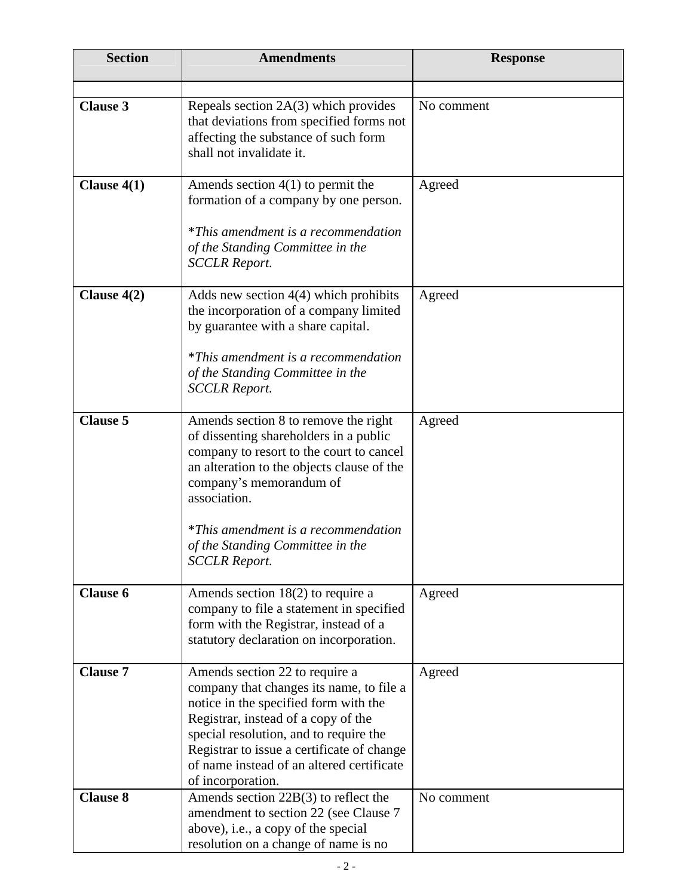| <b>Section</b>  | <b>Amendments</b>                                                                                                                                                                                                                                                                                                             | <b>Response</b> |
|-----------------|-------------------------------------------------------------------------------------------------------------------------------------------------------------------------------------------------------------------------------------------------------------------------------------------------------------------------------|-----------------|
| <b>Clause 3</b> | Repeals section $2A(3)$ which provides<br>that deviations from specified forms not<br>affecting the substance of such form<br>shall not invalidate it.                                                                                                                                                                        | No comment      |
| Clause $4(1)$   | Amends section $4(1)$ to permit the<br>formation of a company by one person.<br><i>*This amendment is a recommendation</i><br>of the Standing Committee in the<br><b>SCCLR Report.</b>                                                                                                                                        | Agreed          |
| Clause $4(2)$   | Adds new section $4(4)$ which prohibits<br>the incorporation of a company limited<br>by guarantee with a share capital.<br><i>*This amendment is a recommendation</i><br>of the Standing Committee in the<br><b>SCCLR Report.</b>                                                                                             | Agreed          |
| <b>Clause 5</b> | Amends section 8 to remove the right<br>of dissenting shareholders in a public<br>company to resort to the court to cancel<br>an alteration to the objects clause of the<br>company's memorandum of<br>association.<br><i>*This amendment is a recommendation</i><br>of the Standing Committee in the<br><b>SCCLR Report.</b> | Agreed          |
| <b>Clause 6</b> | Amends section $18(2)$ to require a<br>company to file a statement in specified<br>form with the Registrar, instead of a<br>statutory declaration on incorporation.                                                                                                                                                           | Agreed          |
| <b>Clause 7</b> | Amends section 22 to require a<br>company that changes its name, to file a<br>notice in the specified form with the<br>Registrar, instead of a copy of the<br>special resolution, and to require the<br>Registrar to issue a certificate of change<br>of name instead of an altered certificate<br>of incorporation.          | Agreed          |
| <b>Clause 8</b> | Amends section $22B(3)$ to reflect the<br>amendment to section 22 (see Clause 7<br>above), i.e., a copy of the special<br>resolution on a change of name is no                                                                                                                                                                | No comment      |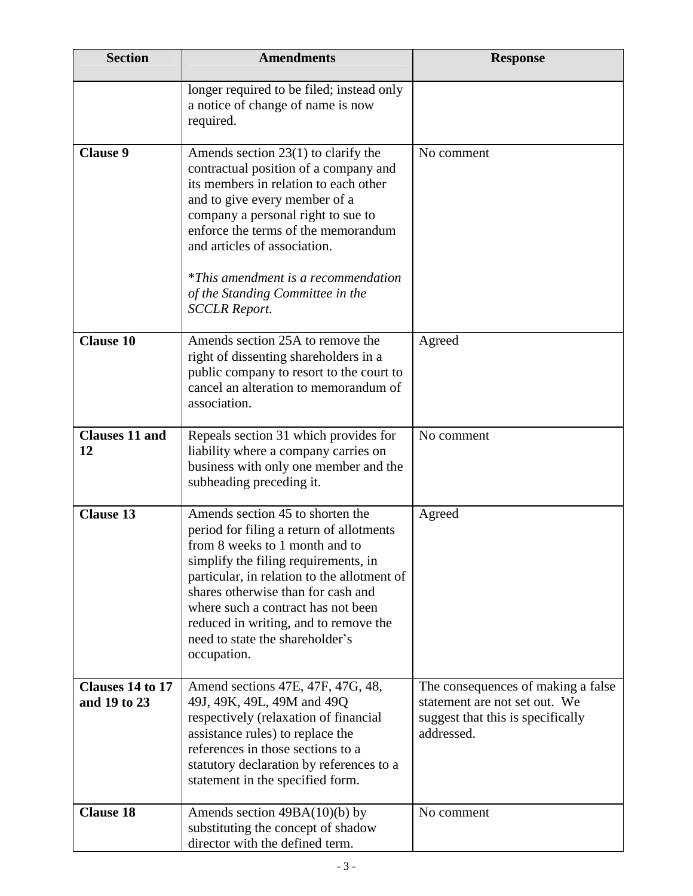| <b>Section</b>                   | <b>Amendments</b>                                                                                                                                                                                                                                                                                                                                                               | <b>Response</b>                                                                                                        |
|----------------------------------|---------------------------------------------------------------------------------------------------------------------------------------------------------------------------------------------------------------------------------------------------------------------------------------------------------------------------------------------------------------------------------|------------------------------------------------------------------------------------------------------------------------|
|                                  | longer required to be filed; instead only<br>a notice of change of name is now<br>required.                                                                                                                                                                                                                                                                                     |                                                                                                                        |
| <b>Clause 9</b>                  | Amends section $23(1)$ to clarify the<br>contractual position of a company and<br>its members in relation to each other<br>and to give every member of a<br>company a personal right to sue to<br>enforce the terms of the memorandum<br>and articles of association.<br><i>*This amendment is a recommendation</i><br>of the Standing Committee in the<br><b>SCCLR Report.</b> | No comment                                                                                                             |
| <b>Clause 10</b>                 | Amends section 25A to remove the<br>right of dissenting shareholders in a<br>public company to resort to the court to<br>cancel an alteration to memorandum of<br>association.                                                                                                                                                                                                  | Agreed                                                                                                                 |
| <b>Clauses 11 and</b><br>12      | Repeals section 31 which provides for<br>liability where a company carries on<br>business with only one member and the<br>subheading preceding it.                                                                                                                                                                                                                              | No comment                                                                                                             |
| <b>Clause 13</b>                 | Amends section 45 to shorten the<br>period for filing a return of allotments<br>from 8 weeks to 1 month and to<br>simplify the filing requirements, in<br>particular, in relation to the allotment of<br>shares otherwise than for cash and<br>where such a contract has not been<br>reduced in writing, and to remove the<br>need to state the shareholder's<br>occupation.    | Agreed                                                                                                                 |
| Clauses 14 to 17<br>and 19 to 23 | Amend sections 47E, 47F, 47G, 48,<br>49J, 49K, 49L, 49M and 49Q<br>respectively (relaxation of financial<br>assistance rules) to replace the<br>references in those sections to a<br>statutory declaration by references to a<br>statement in the specified form.                                                                                                               | The consequences of making a false<br>statement are not set out. We<br>suggest that this is specifically<br>addressed. |
| <b>Clause 18</b>                 | Amends section $49BA(10)(b)$ by<br>substituting the concept of shadow<br>director with the defined term.                                                                                                                                                                                                                                                                        | No comment                                                                                                             |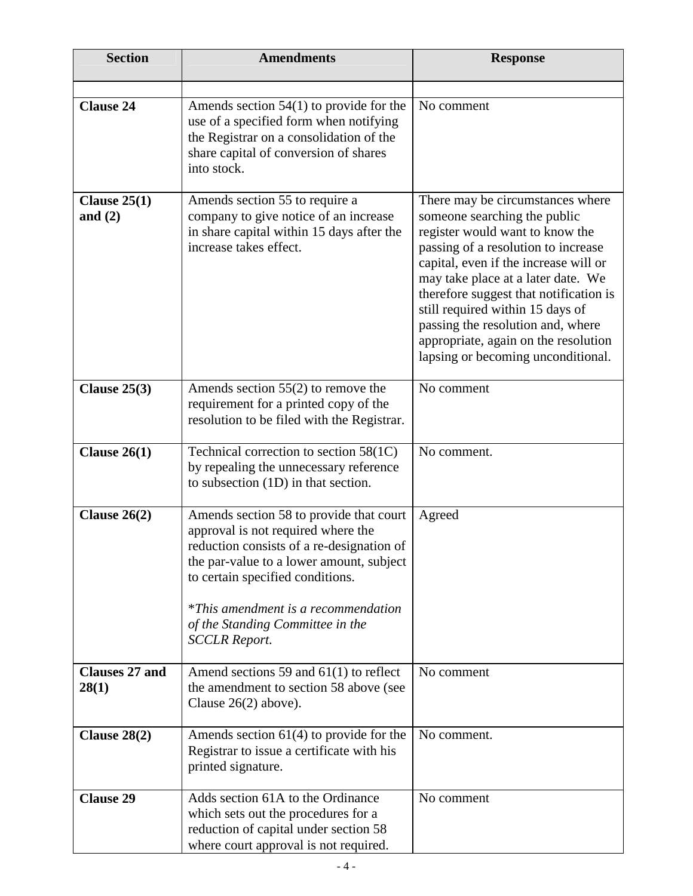| <b>Section</b>                 | <b>Amendments</b>                                                                                                                                                                                                                                                                                                    | <b>Response</b>                                                                                                                                                                                                                                                                                                                                                                                                            |
|--------------------------------|----------------------------------------------------------------------------------------------------------------------------------------------------------------------------------------------------------------------------------------------------------------------------------------------------------------------|----------------------------------------------------------------------------------------------------------------------------------------------------------------------------------------------------------------------------------------------------------------------------------------------------------------------------------------------------------------------------------------------------------------------------|
|                                |                                                                                                                                                                                                                                                                                                                      |                                                                                                                                                                                                                                                                                                                                                                                                                            |
| <b>Clause 24</b>               | Amends section $54(1)$ to provide for the<br>use of a specified form when notifying<br>the Registrar on a consolidation of the<br>share capital of conversion of shares<br>into stock.                                                                                                                               | No comment                                                                                                                                                                                                                                                                                                                                                                                                                 |
| Clause $25(1)$<br>and $(2)$    | Amends section 55 to require a<br>company to give notice of an increase<br>in share capital within 15 days after the<br>increase takes effect.                                                                                                                                                                       | There may be circumstances where<br>someone searching the public<br>register would want to know the<br>passing of a resolution to increase<br>capital, even if the increase will or<br>may take place at a later date. We<br>therefore suggest that notification is<br>still required within 15 days of<br>passing the resolution and, where<br>appropriate, again on the resolution<br>lapsing or becoming unconditional. |
| Clause $25(3)$                 | Amends section $55(2)$ to remove the<br>requirement for a printed copy of the<br>resolution to be filed with the Registrar.                                                                                                                                                                                          | No comment                                                                                                                                                                                                                                                                                                                                                                                                                 |
| Clause $26(1)$                 | Technical correction to section 58(1C)<br>by repealing the unnecessary reference<br>to subsection (1D) in that section.                                                                                                                                                                                              | No comment.                                                                                                                                                                                                                                                                                                                                                                                                                |
| Clause $26(2)$                 | Amends section 58 to provide that court<br>approval is not required where the<br>reduction consists of a re-designation of<br>the par-value to a lower amount, subject<br>to certain specified conditions.<br><i>*This amendment is a recommendation</i><br>of the Standing Committee in the<br><b>SCCLR Report.</b> | Agreed                                                                                                                                                                                                                                                                                                                                                                                                                     |
| <b>Clauses 27 and</b><br>28(1) | Amend sections 59 and $61(1)$ to reflect<br>the amendment to section 58 above (see<br>Clause $26(2)$ above).                                                                                                                                                                                                         | No comment                                                                                                                                                                                                                                                                                                                                                                                                                 |
| Clause $28(2)$                 | Amends section $61(4)$ to provide for the<br>Registrar to issue a certificate with his<br>printed signature.                                                                                                                                                                                                         | No comment.                                                                                                                                                                                                                                                                                                                                                                                                                |
| <b>Clause 29</b>               | Adds section 61A to the Ordinance<br>which sets out the procedures for a<br>reduction of capital under section 58<br>where court approval is not required.                                                                                                                                                           | No comment                                                                                                                                                                                                                                                                                                                                                                                                                 |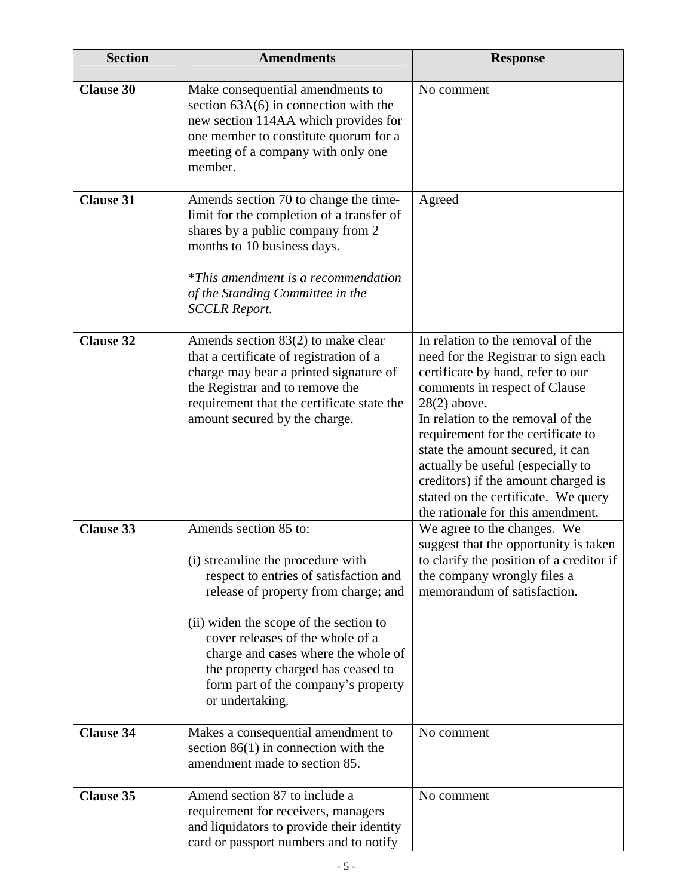| <b>Section</b>   | <b>Amendments</b>                                                                                                                                                                                                                                                                                                                                                 | <b>Response</b>                                                                                                                                                                                                                                                                                                                                                                                                                         |
|------------------|-------------------------------------------------------------------------------------------------------------------------------------------------------------------------------------------------------------------------------------------------------------------------------------------------------------------------------------------------------------------|-----------------------------------------------------------------------------------------------------------------------------------------------------------------------------------------------------------------------------------------------------------------------------------------------------------------------------------------------------------------------------------------------------------------------------------------|
| <b>Clause 30</b> | Make consequential amendments to<br>section $63A(6)$ in connection with the<br>new section 114AA which provides for<br>one member to constitute quorum for a<br>meeting of a company with only one<br>member.                                                                                                                                                     | No comment                                                                                                                                                                                                                                                                                                                                                                                                                              |
| <b>Clause 31</b> | Amends section 70 to change the time-<br>limit for the completion of a transfer of<br>shares by a public company from 2<br>months to 10 business days.<br><i>*This amendment is a recommendation</i><br>of the Standing Committee in the<br><b>SCCLR Report.</b>                                                                                                  | Agreed                                                                                                                                                                                                                                                                                                                                                                                                                                  |
| <b>Clause 32</b> | Amends section 83(2) to make clear<br>that a certificate of registration of a<br>charge may bear a printed signature of<br>the Registrar and to remove the<br>requirement that the certificate state the<br>amount secured by the charge.                                                                                                                         | In relation to the removal of the<br>need for the Registrar to sign each<br>certificate by hand, refer to our<br>comments in respect of Clause<br>$28(2)$ above.<br>In relation to the removal of the<br>requirement for the certificate to<br>state the amount secured, it can<br>actually be useful (especially to<br>creditors) if the amount charged is<br>stated on the certificate. We query<br>the rationale for this amendment. |
| <b>Clause 33</b> | Amends section 85 to:<br>(i) streamline the procedure with<br>respect to entries of satisfaction and<br>release of property from charge; and<br>(ii) widen the scope of the section to<br>cover releases of the whole of a<br>charge and cases where the whole of<br>the property charged has ceased to<br>form part of the company's property<br>or undertaking. | We agree to the changes. We<br>suggest that the opportunity is taken<br>to clarify the position of a creditor if<br>the company wrongly files a<br>memorandum of satisfaction.                                                                                                                                                                                                                                                          |
| <b>Clause 34</b> | Makes a consequential amendment to<br>section $86(1)$ in connection with the<br>amendment made to section 85.                                                                                                                                                                                                                                                     | No comment                                                                                                                                                                                                                                                                                                                                                                                                                              |
| <b>Clause 35</b> | Amend section 87 to include a<br>requirement for receivers, managers<br>and liquidators to provide their identity<br>card or passport numbers and to notify                                                                                                                                                                                                       | No comment                                                                                                                                                                                                                                                                                                                                                                                                                              |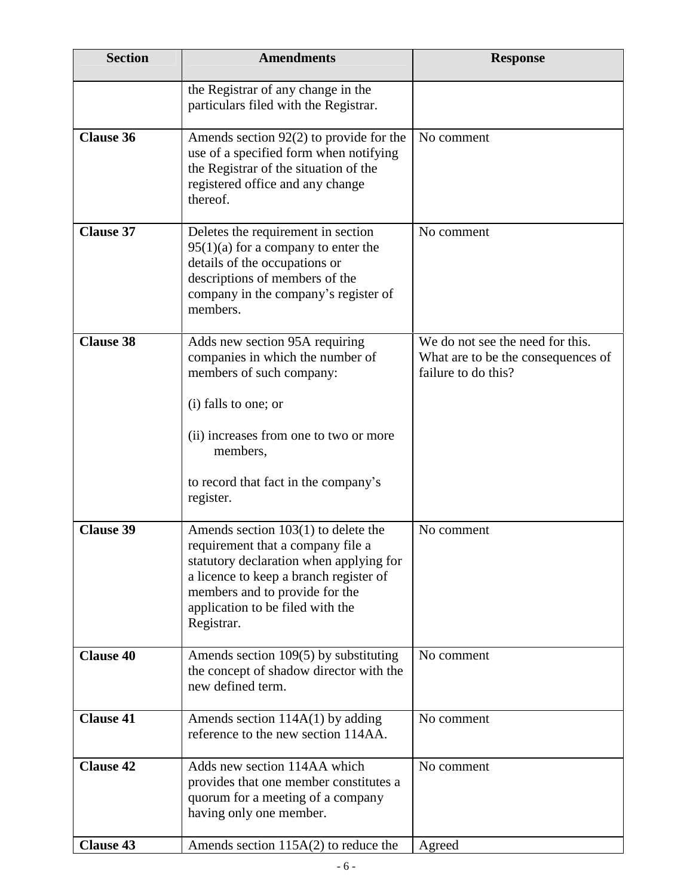| <b>Section</b>   | <b>Amendments</b>                                                                                                                                                                                                                                   | <b>Response</b>                                                                               |
|------------------|-----------------------------------------------------------------------------------------------------------------------------------------------------------------------------------------------------------------------------------------------------|-----------------------------------------------------------------------------------------------|
|                  | the Registrar of any change in the<br>particulars filed with the Registrar.                                                                                                                                                                         |                                                                                               |
| <b>Clause 36</b> | Amends section $92(2)$ to provide for the<br>use of a specified form when notifying<br>the Registrar of the situation of the<br>registered office and any change<br>thereof.                                                                        | No comment                                                                                    |
| <b>Clause 37</b> | Deletes the requirement in section<br>$95(1)(a)$ for a company to enter the<br>details of the occupations or<br>descriptions of members of the<br>company in the company's register of<br>members.                                                  | No comment                                                                                    |
| <b>Clause 38</b> | Adds new section 95A requiring<br>companies in which the number of<br>members of such company:<br>(i) falls to one; or<br>(ii) increases from one to two or more<br>members,<br>to record that fact in the company's<br>register.                   | We do not see the need for this.<br>What are to be the consequences of<br>failure to do this? |
| <b>Clause 39</b> | Amends section $103(1)$ to delete the<br>requirement that a company file a<br>statutory declaration when applying for<br>a licence to keep a branch register of<br>members and to provide for the<br>application to be filed with the<br>Registrar. | No comment                                                                                    |
| <b>Clause 40</b> | Amends section 109(5) by substituting<br>the concept of shadow director with the<br>new defined term.                                                                                                                                               | No comment                                                                                    |
| <b>Clause 41</b> | Amends section $114A(1)$ by adding<br>reference to the new section 114AA.                                                                                                                                                                           | No comment                                                                                    |
| <b>Clause 42</b> | Adds new section 114AA which<br>provides that one member constitutes a<br>quorum for a meeting of a company<br>having only one member.                                                                                                              | No comment                                                                                    |
| <b>Clause 43</b> | Amends section $115A(2)$ to reduce the                                                                                                                                                                                                              | Agreed                                                                                        |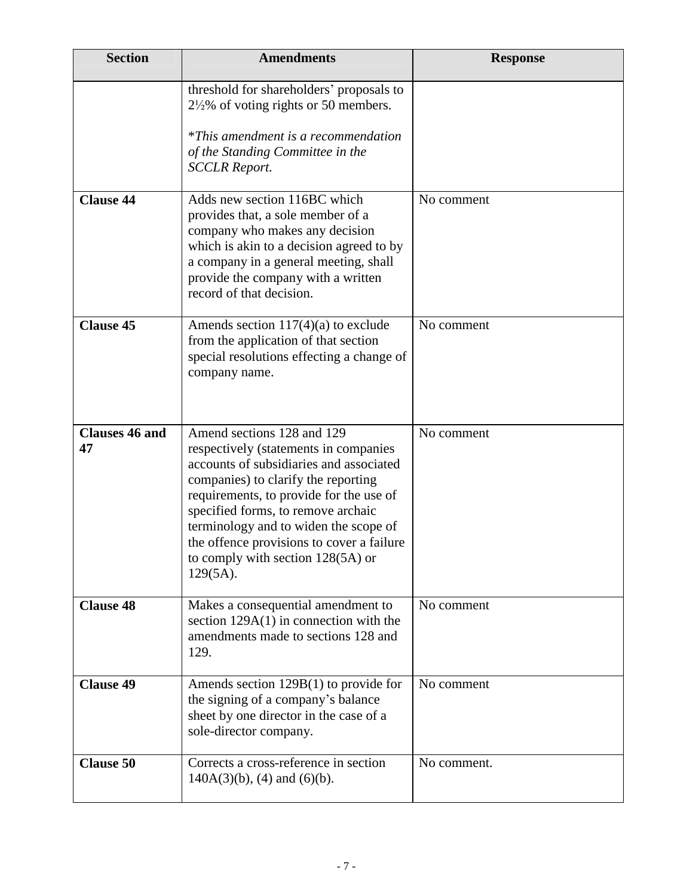| <b>Section</b>              | <b>Amendments</b>                                                                                                                                                                                                                                                                                                                                                                | <b>Response</b> |
|-----------------------------|----------------------------------------------------------------------------------------------------------------------------------------------------------------------------------------------------------------------------------------------------------------------------------------------------------------------------------------------------------------------------------|-----------------|
|                             | threshold for shareholders' proposals to<br>$2\frac{1}{2}\%$ of voting rights or 50 members.<br>*This amendment is a recommendation<br>of the Standing Committee in the<br><b>SCCLR Report.</b>                                                                                                                                                                                  |                 |
| <b>Clause 44</b>            | Adds new section 116BC which<br>provides that, a sole member of a<br>company who makes any decision<br>which is akin to a decision agreed to by<br>a company in a general meeting, shall<br>provide the company with a written<br>record of that decision.                                                                                                                       | No comment      |
| <b>Clause 45</b>            | Amends section $117(4)(a)$ to exclude<br>from the application of that section<br>special resolutions effecting a change of<br>company name.                                                                                                                                                                                                                                      | No comment      |
| <b>Clauses 46 and</b><br>47 | Amend sections 128 and 129<br>respectively (statements in companies<br>accounts of subsidiaries and associated<br>companies) to clarify the reporting<br>requirements, to provide for the use of<br>specified forms, to remove archaic<br>terminology and to widen the scope of<br>the offence provisions to cover a failure<br>to comply with section 128(5A) or<br>$129(5A)$ . | No comment      |
| <b>Clause 48</b>            | Makes a consequential amendment to<br>section $129A(1)$ in connection with the<br>amendments made to sections 128 and<br>129.                                                                                                                                                                                                                                                    | No comment      |
| <b>Clause 49</b>            | Amends section $129B(1)$ to provide for<br>the signing of a company's balance<br>sheet by one director in the case of a<br>sole-director company.                                                                                                                                                                                                                                | No comment      |
| <b>Clause 50</b>            | Corrects a cross-reference in section<br>$140A(3)(b)$ , (4) and (6)(b).                                                                                                                                                                                                                                                                                                          | No comment.     |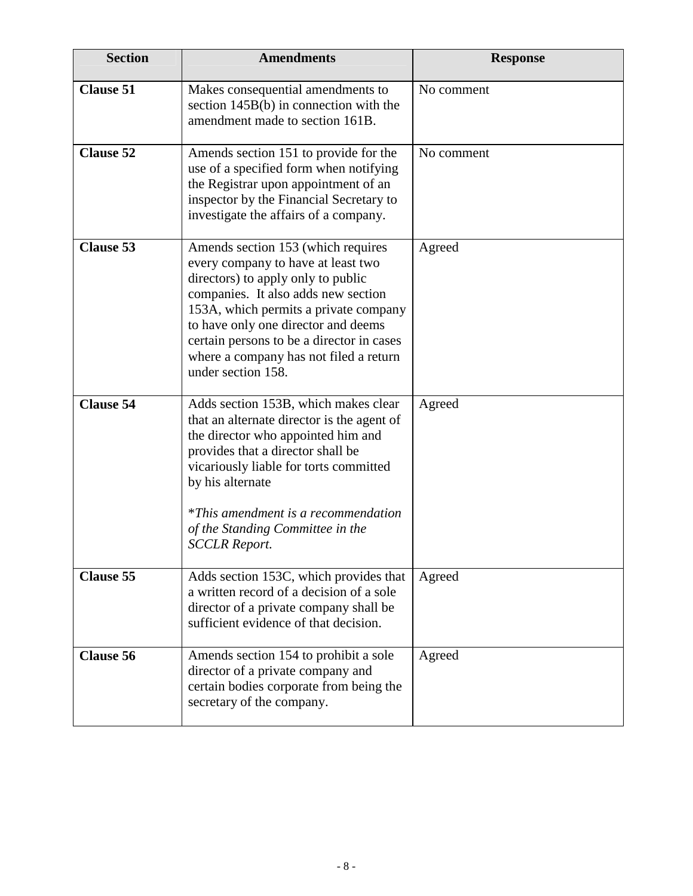| <b>Section</b>   | <b>Amendments</b>                                                                                                                                                                                                                                                                                                                                  | <b>Response</b> |
|------------------|----------------------------------------------------------------------------------------------------------------------------------------------------------------------------------------------------------------------------------------------------------------------------------------------------------------------------------------------------|-----------------|
| <b>Clause 51</b> | Makes consequential amendments to<br>section 145B(b) in connection with the<br>amendment made to section 161B.                                                                                                                                                                                                                                     | No comment      |
| <b>Clause 52</b> | Amends section 151 to provide for the<br>use of a specified form when notifying<br>the Registrar upon appointment of an<br>inspector by the Financial Secretary to<br>investigate the affairs of a company.                                                                                                                                        | No comment      |
| <b>Clause 53</b> | Amends section 153 (which requires<br>every company to have at least two<br>directors) to apply only to public<br>companies. It also adds new section<br>153A, which permits a private company<br>to have only one director and deems<br>certain persons to be a director in cases<br>where a company has not filed a return<br>under section 158. | Agreed          |
| <b>Clause 54</b> | Adds section 153B, which makes clear<br>that an alternate director is the agent of<br>the director who appointed him and<br>provides that a director shall be<br>vicariously liable for torts committed<br>by his alternate<br><i>*This amendment is a recommendation</i><br>of the Standing Committee in the<br><b>SCCLR Report.</b>              | Agreed          |
| <b>Clause 55</b> | Adds section 153C, which provides that<br>a written record of a decision of a sole<br>director of a private company shall be<br>sufficient evidence of that decision.                                                                                                                                                                              | Agreed          |
| <b>Clause 56</b> | Amends section 154 to prohibit a sole<br>director of a private company and<br>certain bodies corporate from being the<br>secretary of the company.                                                                                                                                                                                                 | Agreed          |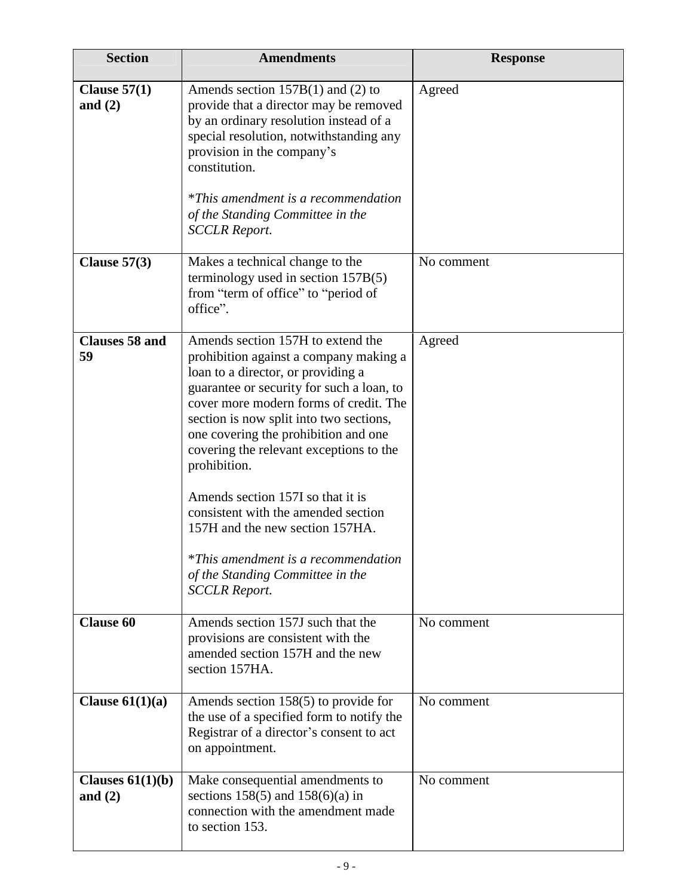| <b>Section</b>                  | <b>Amendments</b>                                                                                                                                                                                                                                                                                                                                                                                                                                                                                                                                                               | <b>Response</b> |
|---------------------------------|---------------------------------------------------------------------------------------------------------------------------------------------------------------------------------------------------------------------------------------------------------------------------------------------------------------------------------------------------------------------------------------------------------------------------------------------------------------------------------------------------------------------------------------------------------------------------------|-----------------|
| Clause $57(1)$<br>and $(2)$     | Amends section $157B(1)$ and (2) to<br>provide that a director may be removed<br>by an ordinary resolution instead of a<br>special resolution, notwithstanding any<br>provision in the company's<br>constitution.<br><i>*This amendment is a recommendation</i><br>of the Standing Committee in the<br><b>SCCLR Report.</b>                                                                                                                                                                                                                                                     | Agreed          |
| Clause $57(3)$                  | Makes a technical change to the<br>terminology used in section 157B(5)<br>from "term of office" to "period of<br>office".                                                                                                                                                                                                                                                                                                                                                                                                                                                       | No comment      |
| <b>Clauses 58 and</b><br>59     | Amends section 157H to extend the<br>prohibition against a company making a<br>loan to a director, or providing a<br>guarantee or security for such a loan, to<br>cover more modern forms of credit. The<br>section is now split into two sections,<br>one covering the prohibition and one<br>covering the relevant exceptions to the<br>prohibition.<br>Amends section 157I so that it is<br>consistent with the amended section<br>157H and the new section 157HA.<br><i>*This amendment is a recommendation</i><br>of the Standing Committee in the<br><b>SCCLR Report.</b> | Agreed          |
| <b>Clause 60</b>                | Amends section 157J such that the<br>provisions are consistent with the<br>amended section 157H and the new<br>section 157HA.                                                                                                                                                                                                                                                                                                                                                                                                                                                   | No comment      |
| Clause $61(1)(a)$               | Amends section 158(5) to provide for<br>the use of a specified form to notify the<br>Registrar of a director's consent to act<br>on appointment.                                                                                                                                                                                                                                                                                                                                                                                                                                | No comment      |
| Clauses $61(1)(b)$<br>and $(2)$ | Make consequential amendments to<br>sections 158(5) and 158(6)(a) in<br>connection with the amendment made<br>to section 153.                                                                                                                                                                                                                                                                                                                                                                                                                                                   | No comment      |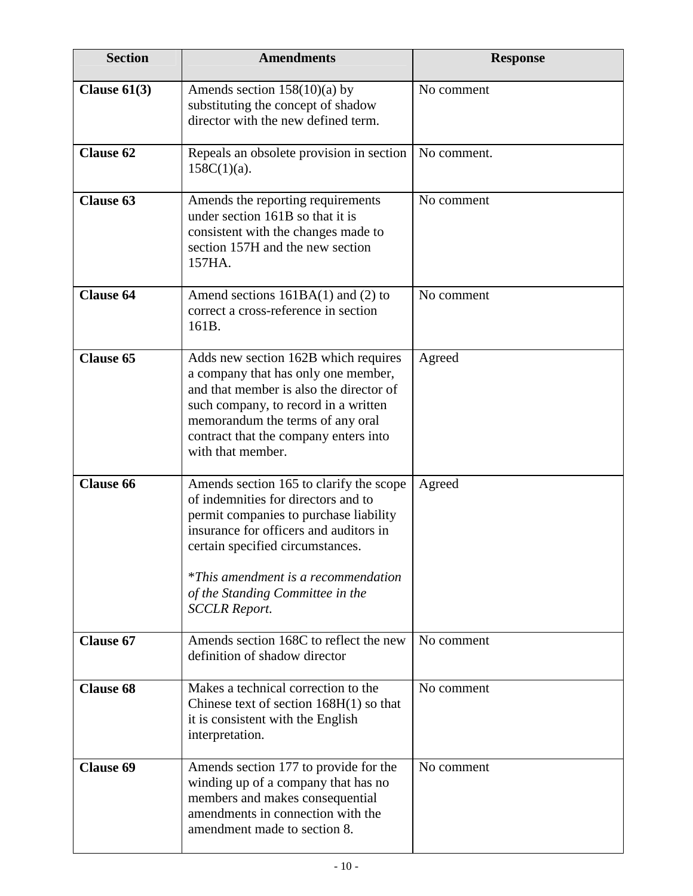| <b>Section</b>   | <b>Amendments</b>                                                                                                                                                                                                                                                                                                | <b>Response</b> |
|------------------|------------------------------------------------------------------------------------------------------------------------------------------------------------------------------------------------------------------------------------------------------------------------------------------------------------------|-----------------|
| Clause $61(3)$   | Amends section $158(10)(a)$ by<br>substituting the concept of shadow<br>director with the new defined term.                                                                                                                                                                                                      | No comment      |
| <b>Clause 62</b> | Repeals an obsolete provision in section<br>$158C(1)(a)$ .                                                                                                                                                                                                                                                       | No comment.     |
| <b>Clause 63</b> | Amends the reporting requirements<br>under section 161B so that it is<br>consistent with the changes made to<br>section 157H and the new section<br>157HA.                                                                                                                                                       | No comment      |
| <b>Clause 64</b> | Amend sections $161BA(1)$ and (2) to<br>correct a cross-reference in section<br>161B.                                                                                                                                                                                                                            | No comment      |
| <b>Clause 65</b> | Adds new section 162B which requires<br>a company that has only one member,<br>and that member is also the director of<br>such company, to record in a written<br>memorandum the terms of any oral<br>contract that the company enters into<br>with that member.                                                 | Agreed          |
| <b>Clause 66</b> | Amends section 165 to clarify the scope<br>of indemnities for directors and to<br>permit companies to purchase liability<br>insurance for officers and auditors in<br>certain specified circumstances.<br><i>*This amendment is a recommendation</i><br>of the Standing Committee in the<br><b>SCCLR Report.</b> | Agreed          |
| <b>Clause 67</b> | Amends section 168C to reflect the new<br>definition of shadow director                                                                                                                                                                                                                                          | No comment      |
| <b>Clause 68</b> | Makes a technical correction to the<br>Chinese text of section $168H(1)$ so that<br>it is consistent with the English<br>interpretation.                                                                                                                                                                         | No comment      |
| <b>Clause 69</b> | Amends section 177 to provide for the<br>winding up of a company that has no<br>members and makes consequential<br>amendments in connection with the<br>amendment made to section 8.                                                                                                                             | No comment      |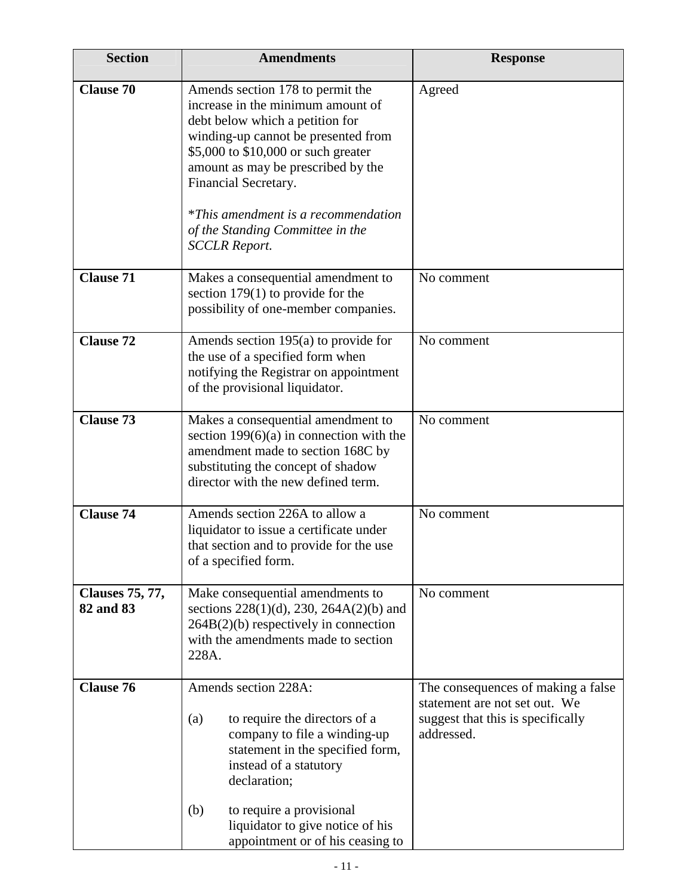| <b>Section</b>                      | <b>Amendments</b>                                                                                                                                                                                                                                                                                                                                              | <b>Response</b>                                                                                                        |
|-------------------------------------|----------------------------------------------------------------------------------------------------------------------------------------------------------------------------------------------------------------------------------------------------------------------------------------------------------------------------------------------------------------|------------------------------------------------------------------------------------------------------------------------|
| <b>Clause 70</b>                    | Amends section 178 to permit the<br>increase in the minimum amount of<br>debt below which a petition for<br>winding-up cannot be presented from<br>\$5,000 to \$10,000 or such greater<br>amount as may be prescribed by the<br>Financial Secretary.<br><i>*This amendment is a recommendation</i><br>of the Standing Committee in the<br><b>SCCLR Report.</b> | Agreed                                                                                                                 |
| <b>Clause 71</b>                    | Makes a consequential amendment to<br>section $179(1)$ to provide for the<br>possibility of one-member companies.                                                                                                                                                                                                                                              | No comment                                                                                                             |
| <b>Clause 72</b>                    | Amends section 195(a) to provide for<br>the use of a specified form when<br>notifying the Registrar on appointment<br>of the provisional liquidator.                                                                                                                                                                                                           | No comment                                                                                                             |
| <b>Clause 73</b>                    | Makes a consequential amendment to<br>section $199(6)(a)$ in connection with the<br>amendment made to section 168C by<br>substituting the concept of shadow<br>director with the new defined term.                                                                                                                                                             | No comment                                                                                                             |
| <b>Clause 74</b>                    | Amends section 226A to allow a<br>liquidator to issue a certificate under<br>that section and to provide for the use<br>of a specified form.                                                                                                                                                                                                                   | No comment                                                                                                             |
| <b>Clauses 75, 77,</b><br>82 and 83 | Make consequential amendments to<br>sections $228(1)(d)$ , $230$ , $264A(2)(b)$ and<br>264B(2)(b) respectively in connection<br>with the amendments made to section<br>228A.                                                                                                                                                                                   | No comment                                                                                                             |
| <b>Clause 76</b>                    | Amends section 228A:<br>to require the directors of a<br>(a)<br>company to file a winding-up<br>statement in the specified form,<br>instead of a statutory<br>declaration;<br>(b)<br>to require a provisional                                                                                                                                                  | The consequences of making a false<br>statement are not set out. We<br>suggest that this is specifically<br>addressed. |
|                                     | liquidator to give notice of his<br>appointment or of his ceasing to                                                                                                                                                                                                                                                                                           |                                                                                                                        |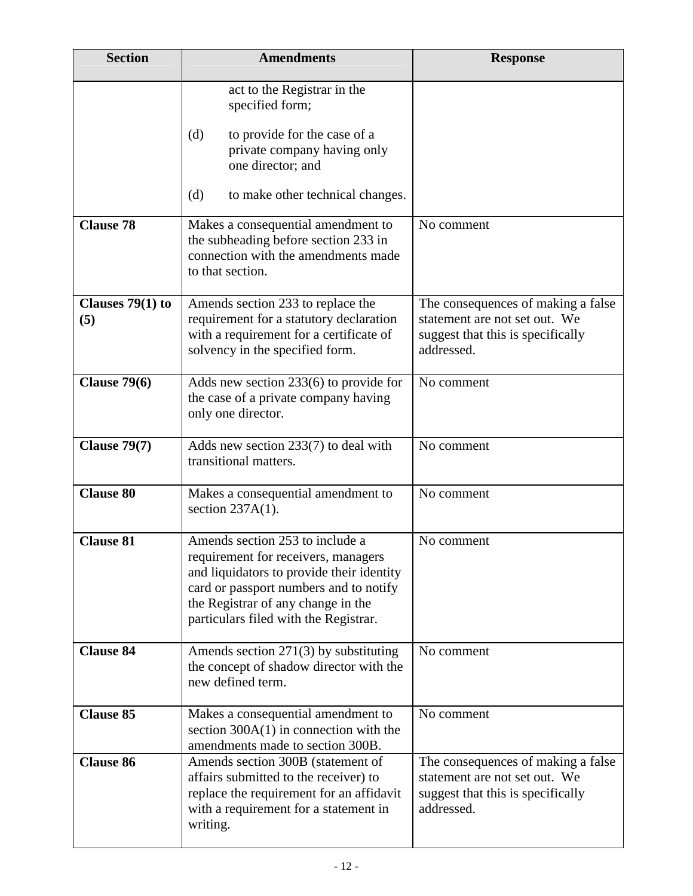| <b>Section</b>            | <b>Amendments</b>                                                                                                                                                                                                                            | <b>Response</b>                                                                                                        |
|---------------------------|----------------------------------------------------------------------------------------------------------------------------------------------------------------------------------------------------------------------------------------------|------------------------------------------------------------------------------------------------------------------------|
|                           | act to the Registrar in the<br>specified form;                                                                                                                                                                                               |                                                                                                                        |
|                           | (d)<br>to provide for the case of a<br>private company having only<br>one director; and                                                                                                                                                      |                                                                                                                        |
|                           | (d)<br>to make other technical changes.                                                                                                                                                                                                      |                                                                                                                        |
| <b>Clause 78</b>          | Makes a consequential amendment to<br>the subheading before section 233 in<br>connection with the amendments made<br>to that section.                                                                                                        | No comment                                                                                                             |
| Clauses $79(1)$ to<br>(5) | Amends section 233 to replace the<br>requirement for a statutory declaration<br>with a requirement for a certificate of<br>solvency in the specified form.                                                                                   | The consequences of making a false<br>statement are not set out. We<br>suggest that this is specifically<br>addressed. |
| Clause $79(6)$            | Adds new section $233(6)$ to provide for<br>the case of a private company having<br>only one director.                                                                                                                                       | No comment                                                                                                             |
| <b>Clause 79(7)</b>       | Adds new section $233(7)$ to deal with<br>transitional matters.                                                                                                                                                                              | No comment                                                                                                             |
| <b>Clause 80</b>          | Makes a consequential amendment to<br>section $237A(1)$ .                                                                                                                                                                                    | No comment                                                                                                             |
| <b>Clause 81</b>          | Amends section 253 to include a<br>requirement for receivers, managers<br>and liquidators to provide their identity<br>card or passport numbers and to notify<br>the Registrar of any change in the<br>particulars filed with the Registrar. | No comment                                                                                                             |
| <b>Clause 84</b>          | Amends section $271(3)$ by substituting<br>the concept of shadow director with the<br>new defined term.                                                                                                                                      | No comment                                                                                                             |
| <b>Clause 85</b>          | Makes a consequential amendment to<br>section $300A(1)$ in connection with the<br>amendments made to section 300B.                                                                                                                           | No comment                                                                                                             |
| <b>Clause 86</b>          | Amends section 300B (statement of<br>affairs submitted to the receiver) to<br>replace the requirement for an affidavit<br>with a requirement for a statement in<br>writing.                                                                  | The consequences of making a false<br>statement are not set out. We<br>suggest that this is specifically<br>addressed. |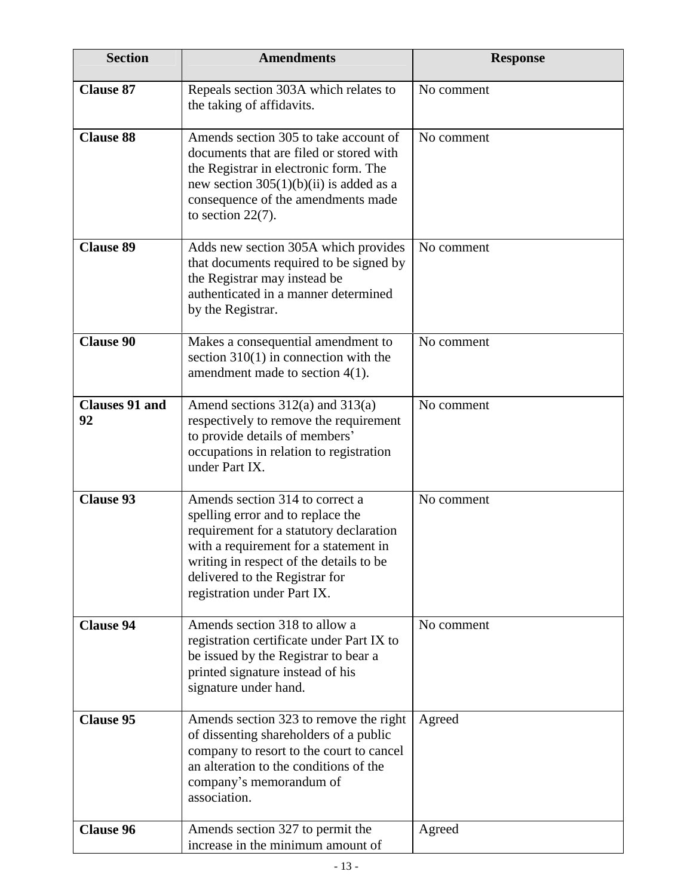| <b>Section</b>              | <b>Amendments</b>                                                                                                                                                                                                                                                    | <b>Response</b> |
|-----------------------------|----------------------------------------------------------------------------------------------------------------------------------------------------------------------------------------------------------------------------------------------------------------------|-----------------|
| <b>Clause 87</b>            | Repeals section 303A which relates to<br>the taking of affidavits.                                                                                                                                                                                                   | No comment      |
| <b>Clause 88</b>            | Amends section 305 to take account of<br>documents that are filed or stored with<br>the Registrar in electronic form. The<br>new section $305(1)(b)(ii)$ is added as a<br>consequence of the amendments made<br>to section $22(7)$ .                                 | No comment      |
| <b>Clause 89</b>            | Adds new section 305A which provides<br>that documents required to be signed by<br>the Registrar may instead be<br>authenticated in a manner determined<br>by the Registrar.                                                                                         | No comment      |
| <b>Clause 90</b>            | Makes a consequential amendment to<br>section $310(1)$ in connection with the<br>amendment made to section $4(1)$ .                                                                                                                                                  | No comment      |
| <b>Clauses 91 and</b><br>92 | Amend sections $312(a)$ and $313(a)$<br>respectively to remove the requirement<br>to provide details of members'<br>occupations in relation to registration<br>under Part IX.                                                                                        | No comment      |
| <b>Clause 93</b>            | Amends section 314 to correct a<br>spelling error and to replace the<br>requirement for a statutory declaration<br>with a requirement for a statement in<br>writing in respect of the details to be<br>delivered to the Registrar for<br>registration under Part IX. | No comment      |
| <b>Clause 94</b>            | Amends section 318 to allow a<br>registration certificate under Part IX to<br>be issued by the Registrar to bear a<br>printed signature instead of his<br>signature under hand.                                                                                      | No comment      |
| <b>Clause 95</b>            | Amends section 323 to remove the right<br>of dissenting shareholders of a public<br>company to resort to the court to cancel<br>an alteration to the conditions of the<br>company's memorandum of<br>association.                                                    | Agreed          |
| <b>Clause 96</b>            | Amends section 327 to permit the<br>increase in the minimum amount of                                                                                                                                                                                                | Agreed          |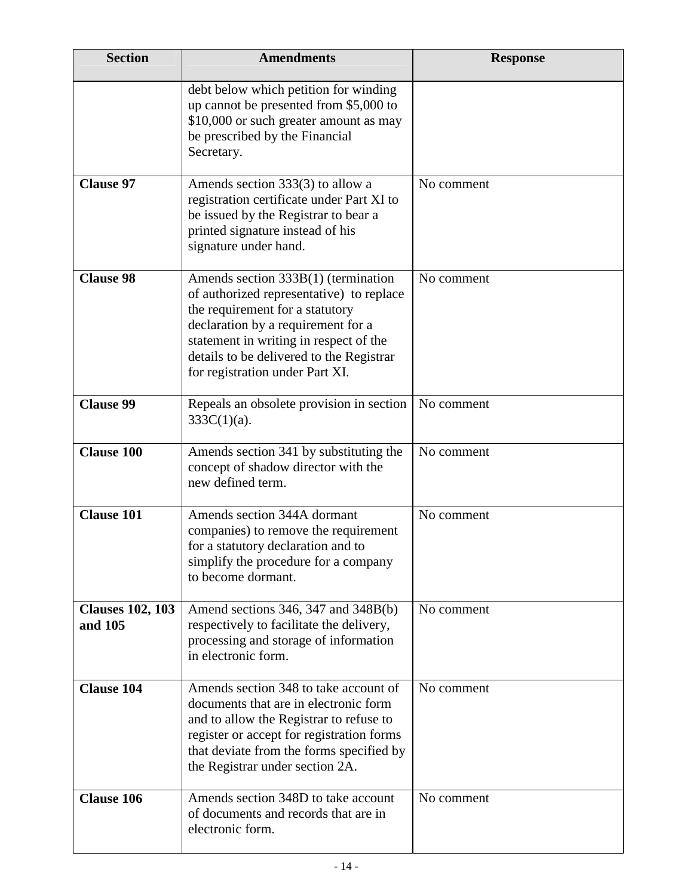| <b>Section</b>                     | <b>Amendments</b>                                                                                                                                                                                                                                                                   | <b>Response</b> |
|------------------------------------|-------------------------------------------------------------------------------------------------------------------------------------------------------------------------------------------------------------------------------------------------------------------------------------|-----------------|
|                                    | debt below which petition for winding<br>up cannot be presented from \$5,000 to<br>\$10,000 or such greater amount as may<br>be prescribed by the Financial<br>Secretary.                                                                                                           |                 |
| <b>Clause 97</b>                   | Amends section 333(3) to allow a<br>registration certificate under Part XI to<br>be issued by the Registrar to bear a<br>printed signature instead of his<br>signature under hand.                                                                                                  | No comment      |
| <b>Clause 98</b>                   | Amends section $333B(1)$ (termination<br>of authorized representative) to replace<br>the requirement for a statutory<br>declaration by a requirement for a<br>statement in writing in respect of the<br>details to be delivered to the Registrar<br>for registration under Part XI. | No comment      |
| <b>Clause 99</b>                   | Repeals an obsolete provision in section<br>$333C(1)(a)$ .                                                                                                                                                                                                                          | No comment      |
| <b>Clause 100</b>                  | Amends section 341 by substituting the<br>concept of shadow director with the<br>new defined term.                                                                                                                                                                                  | No comment      |
| <b>Clause 101</b>                  | Amends section 344A dormant<br>companies) to remove the requirement<br>for a statutory declaration and to<br>simplify the procedure for a company<br>to become dormant.                                                                                                             | No comment      |
| <b>Clauses 102, 103</b><br>and 105 | Amend sections 346, 347 and 348B(b)<br>respectively to facilitate the delivery,<br>processing and storage of information<br>in electronic form.                                                                                                                                     | No comment      |
| <b>Clause 104</b>                  | Amends section 348 to take account of<br>documents that are in electronic form<br>and to allow the Registrar to refuse to<br>register or accept for registration forms<br>that deviate from the forms specified by<br>the Registrar under section 2A.                               | No comment      |
| <b>Clause 106</b>                  | Amends section 348D to take account<br>of documents and records that are in<br>electronic form.                                                                                                                                                                                     | No comment      |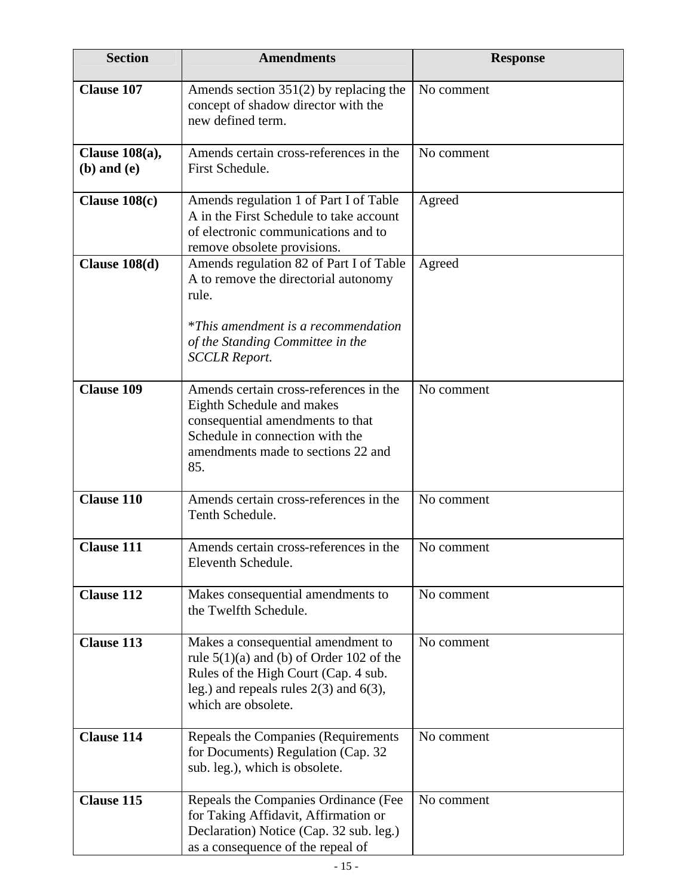| <b>Section</b>                       | <b>Amendments</b>                                                                                                                                                                              | <b>Response</b> |
|--------------------------------------|------------------------------------------------------------------------------------------------------------------------------------------------------------------------------------------------|-----------------|
| <b>Clause 107</b>                    | Amends section $351(2)$ by replacing the<br>concept of shadow director with the<br>new defined term.                                                                                           | No comment      |
| Clause $108(a)$ ,<br>$(b)$ and $(e)$ | Amends certain cross-references in the<br>First Schedule.                                                                                                                                      | No comment      |
| Clause $108(c)$                      | Amends regulation 1 of Part I of Table<br>A in the First Schedule to take account<br>of electronic communications and to<br>remove obsolete provisions.                                        | Agreed          |
| Clause $108(d)$                      | Amends regulation 82 of Part I of Table<br>A to remove the directorial autonomy<br>rule.<br>*This amendment is a recommendation                                                                | Agreed          |
|                                      | of the Standing Committee in the<br><b>SCCLR Report.</b>                                                                                                                                       |                 |
| <b>Clause 109</b>                    | Amends certain cross-references in the<br>Eighth Schedule and makes<br>consequential amendments to that<br>Schedule in connection with the<br>amendments made to sections 22 and<br>85.        | No comment      |
| <b>Clause 110</b>                    | Amends certain cross-references in the<br>Tenth Schedule.                                                                                                                                      | No comment      |
| <b>Clause 111</b>                    | Amends certain cross-references in the<br>Eleventh Schedule.                                                                                                                                   | No comment      |
| <b>Clause 112</b>                    | Makes consequential amendments to<br>the Twelfth Schedule.                                                                                                                                     | No comment      |
| <b>Clause 113</b>                    | Makes a consequential amendment to<br>rule $5(1)(a)$ and (b) of Order 102 of the<br>Rules of the High Court (Cap. 4 sub.<br>leg.) and repeals rules $2(3)$ and $6(3)$ ,<br>which are obsolete. | No comment      |
| <b>Clause 114</b>                    | Repeals the Companies (Requirements<br>for Documents) Regulation (Cap. 32<br>sub. leg.), which is obsolete.                                                                                    | No comment      |
| <b>Clause 115</b>                    | Repeals the Companies Ordinance (Fee<br>for Taking Affidavit, Affirmation or<br>Declaration) Notice (Cap. 32 sub. leg.)<br>as a consequence of the repeal of                                   | No comment      |